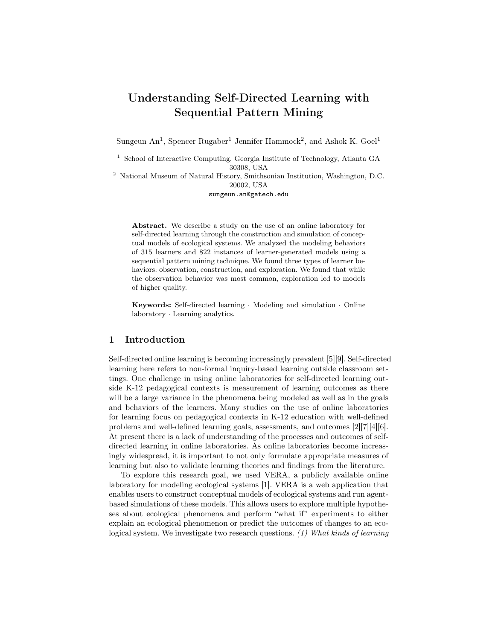# Understanding Self-Directed Learning with Sequential Pattern Mining

Sungeun An<sup>1</sup>, Spencer Rugaber<sup>1</sup> Jennifer Hammock<sup>2</sup>, and Ashok K. Goel<sup>1</sup>

<sup>1</sup> School of Interactive Computing, Georgia Institute of Technology, Atlanta GA 30308, USA

<sup>2</sup> National Museum of Natural History, Smithsonian Institution, Washington, D.C. 20002, USA

sungeun.an@gatech.edu

Abstract. We describe a study on the use of an online laboratory for self-directed learning through the construction and simulation of conceptual models of ecological systems. We analyzed the modeling behaviors of 315 learners and 822 instances of learner-generated models using a sequential pattern mining technique. We found three types of learner behaviors: observation, construction, and exploration. We found that while the observation behavior was most common, exploration led to models of higher quality.

Keywords: Self-directed learning · Modeling and simulation · Online laboratory · Learning analytics.

### 1 Introduction

Self-directed online learning is becoming increasingly prevalent [5][9]. Self-directed learning here refers to non-formal inquiry-based learning outside classroom settings. One challenge in using online laboratories for self-directed learning outside K-12 pedagogical contexts is measurement of learning outcomes as there will be a large variance in the phenomena being modeled as well as in the goals and behaviors of the learners. Many studies on the use of online laboratories for learning focus on pedagogical contexts in K-12 education with well-defined problems and well-defined learning goals, assessments, and outcomes [2][7][4][6]. At present there is a lack of understanding of the processes and outcomes of selfdirected learning in online laboratories. As online laboratories become increasingly widespread, it is important to not only formulate appropriate measures of learning but also to validate learning theories and findings from the literature.

To explore this research goal, we used VERA, a publicly available online laboratory for modeling ecological systems [1]. VERA is a web application that enables users to construct conceptual models of ecological systems and run agentbased simulations of these models. This allows users to explore multiple hypotheses about ecological phenomena and perform "what if" experiments to either explain an ecological phenomenon or predict the outcomes of changes to an ecological system. We investigate two research questions.  $(1)$  What kinds of learning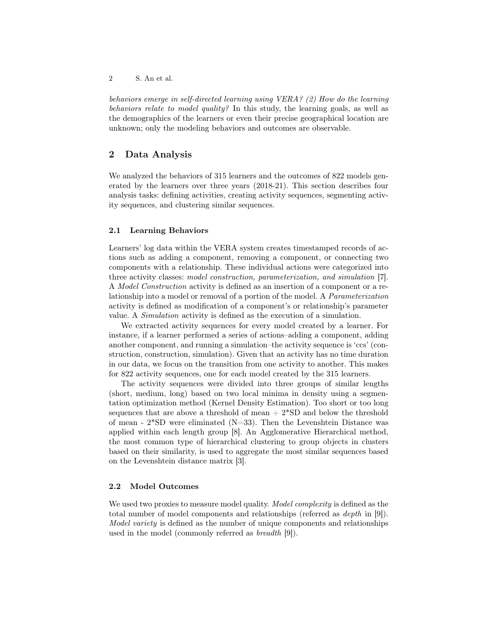behaviors emerge in self-directed learning using VERA? (2) How do the learning behaviors relate to model quality? In this study, the learning goals, as well as the demographics of the learners or even their precise geographical location are unknown; only the modeling behaviors and outcomes are observable.

## 2 Data Analysis

We analyzed the behaviors of 315 learners and the outcomes of 822 models generated by the learners over three years (2018-21). This section describes four analysis tasks: defining activities, creating activity sequences, segmenting activity sequences, and clustering similar sequences.

#### 2.1 Learning Behaviors

Learners' log data within the VERA system creates timestamped records of actions such as adding a component, removing a component, or connecting two components with a relationship. These individual actions were categorized into three activity classes: model construction, parameterization, and simulation [7]. A Model Construction activity is defined as an insertion of a component or a relationship into a model or removal of a portion of the model. A Parameterization activity is defined as modification of a component's or relationship's parameter value. A Simulation activity is defined as the execution of a simulation.

We extracted activity sequences for every model created by a learner. For instance, if a learner performed a series of actions–adding a component, adding another component, and running a simulation–the activity sequence is 'ccs' (construction, construction, simulation). Given that an activity has no time duration in our data, we focus on the transition from one activity to another. This makes for 822 activity sequences, one for each model created by the 315 learners.

The activity sequences were divided into three groups of similar lengths (short, medium, long) based on two local minima in density using a segmentation optimization method (Kernel Density Estimation). Too short or too long sequences that are above a threshold of mean  $+ 2*SD$  and below the threshold of mean -  $2*SD$  were eliminated (N=33). Then the Levenshtein Distance was applied within each length group [8]. An Agglomerative Hierarchical method, the most common type of hierarchical clustering to group objects in clusters based on their similarity, is used to aggregate the most similar sequences based on the Levenshtein distance matrix [3].

#### 2.2 Model Outcomes

We used two proxies to measure model quality. *Model complexity* is defined as the total number of model components and relationships (referred as depth in [9]). Model variety is defined as the number of unique components and relationships used in the model (commonly referred as breadth [9]).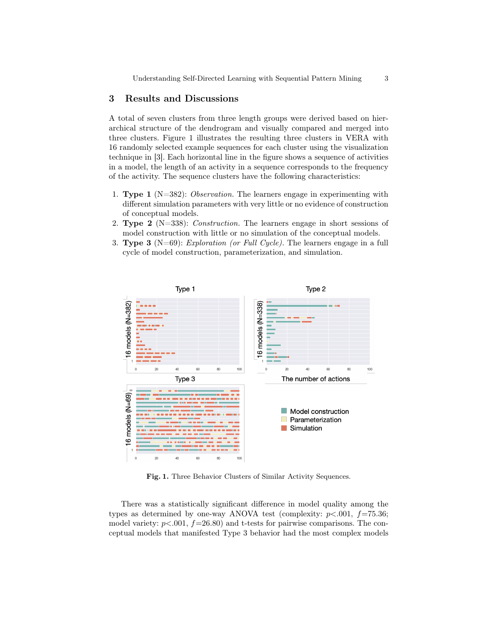## 3 Results and Discussions

A total of seven clusters from three length groups were derived based on hierarchical structure of the dendrogram and visually compared and merged into three clusters. Figure 1 illustrates the resulting three clusters in VERA with 16 randomly selected example sequences for each cluster using the visualization technique in [3]. Each horizontal line in the figure shows a sequence of activities in a model, the length of an activity in a sequence corresponds to the frequency of the activity. The sequence clusters have the following characteristics:

- 1. **Type 1** ( $N=382$ ): *Observation*. The learners engage in experimenting with different simulation parameters with very little or no evidence of construction of conceptual models.
- 2. **Type 2** ( $N=338$ ): *Construction*. The learners engage in short sessions of model construction with little or no simulation of the conceptual models.
- 3. Type 3 (N=69): Exploration (or Full Cycle). The learners engage in a full cycle of model construction, parameterization, and simulation.



Fig. 1. Three Behavior Clusters of Similar Activity Sequences.

There was a statistically significant difference in model quality among the types as determined by one-way ANOVA test (complexity:  $p<.001$ ,  $f=75.36$ ; model variety:  $p < .001$ ,  $f = 26.80$ ) and t-tests for pairwise comparisons. The conceptual models that manifested Type 3 behavior had the most complex models